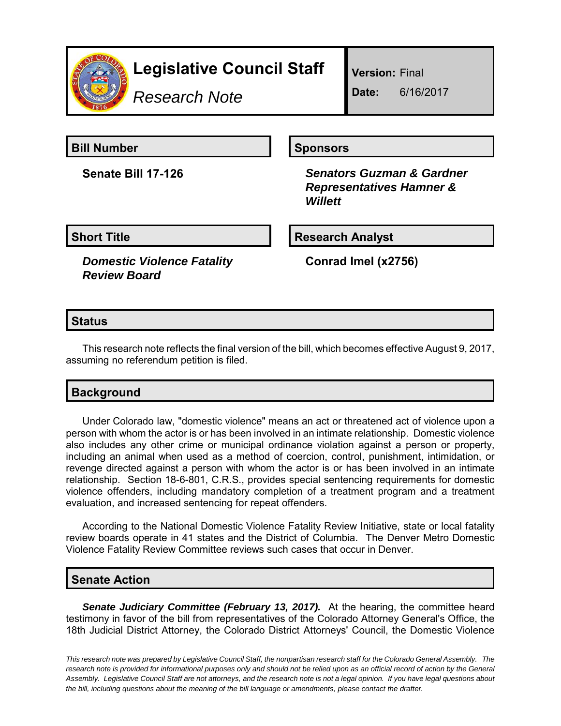

# **Legislative Council Staff**

*Research Note*

**Version:** Final

**Date:** 6/16/2017

**Bill Number Sponsors** 

**Senate Bill 17-126** *Senators Guzman & Gardner Representatives Hamner & Willett*

**Short Title**  Research Analyst

*Domestic Violence Fatality Review Board*

**Conrad Imel (x2756)**

### **Status**

This research note reflects the final version of the bill, which becomes effective August 9, 2017, assuming no referendum petition is filed.

## **Background**

Under Colorado law, "domestic violence" means an act or threatened act of violence upon a person with whom the actor is or has been involved in an intimate relationship. Domestic violence also includes any other crime or municipal ordinance violation against a person or property, including an animal when used as a method of coercion, control, punishment, intimidation, or revenge directed against a person with whom the actor is or has been involved in an intimate relationship. Section 18-6-801, C.R.S., provides special sentencing requirements for domestic violence offenders, including mandatory completion of a treatment program and a treatment evaluation, and increased sentencing for repeat offenders.

According to the National Domestic Violence Fatality Review Initiative, state or local fatality review boards operate in 41 states and the District of Columbia. The Denver Metro Domestic Violence Fatality Review Committee reviews such cases that occur in Denver.

#### **Senate Action**

*Senate Judiciary Committee (February 13, 2017).* At the hearing, the committee heard testimony in favor of the bill from representatives of the Colorado Attorney General's Office, the 18th Judicial District Attorney, the Colorado District Attorneys' Council, the Domestic Violence

*This research note was prepared by Legislative Council Staff, the nonpartisan research staff for the Colorado General Assembly. The research note is provided for informational purposes only and should not be relied upon as an official record of action by the General Assembly. Legislative Council Staff are not attorneys, and the research note is not a legal opinion. If you have legal questions about the bill, including questions about the meaning of the bill language or amendments, please contact the drafter.*